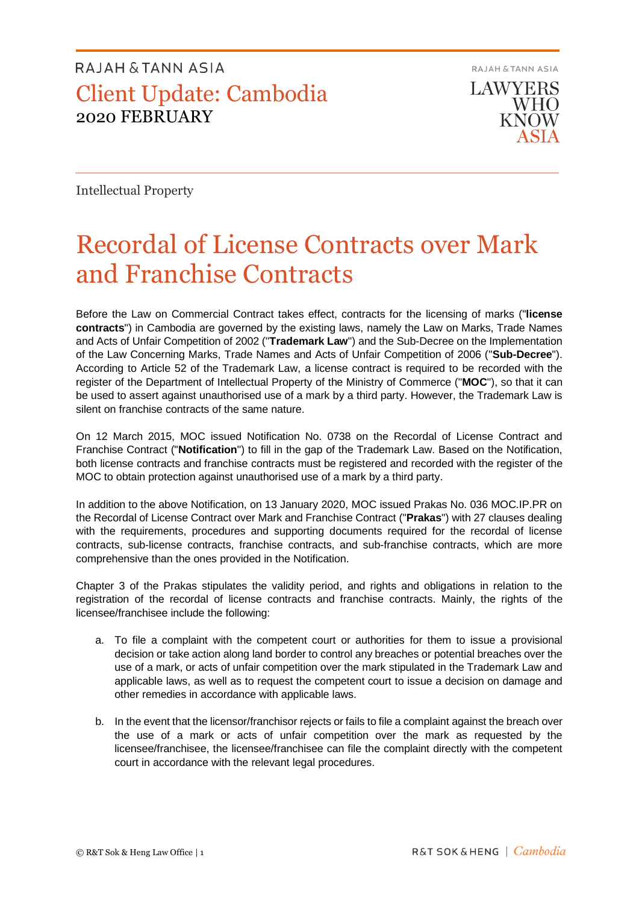## RAJAH & TANN ASIA Client Update: Cambodia 2020 FEBRUARY

RAJAH & TANN ASIA

**LAWYERS WHO KNOW** 

Intellectual Property

# Recordal of License Contracts over Mark and Franchise Contracts

Before the Law on Commercial Contract takes effect, contracts for the licensing of marks ("**license contracts**") in Cambodia are governed by the existing laws, namely the Law on Marks, Trade Names and Acts of Unfair Competition of 2002 ("**Trademark Law**") and the Sub-Decree on the Implementation of the Law Concerning Marks, Trade Names and Acts of Unfair Competition of 2006 ("**Sub-Decree**"). According to Article 52 of the Trademark Law, a license contract is required to be recorded with the register of the Department of Intellectual Property of the Ministry of Commerce ("**MOC**"), so that it can be used to assert against unauthorised use of a mark by a third party. However, the Trademark Law is silent on franchise contracts of the same nature.

On 12 March 2015, MOC issued Notification No. 0738 on the Recordal of License Contract and Franchise Contract ("**Notification**") to fill in the gap of the Trademark Law. Based on the Notification, both license contracts and franchise contracts must be registered and recorded with the register of the MOC to obtain protection against unauthorised use of a mark by a third party.

In addition to the above Notification, on 13 January 2020, MOC issued Prakas No. 036 MOC.IP.PR on the Recordal of License Contract over Mark and Franchise Contract ("**Prakas**") with 27 clauses dealing with the requirements, procedures and supporting documents required for the recordal of license contracts, sub-license contracts, franchise contracts, and sub-franchise contracts, which are more comprehensive than the ones provided in the Notification.

Chapter 3 of the Prakas stipulates the validity period, and rights and obligations in relation to the registration of the recordal of license contracts and franchise contracts. Mainly, the rights of the licensee/franchisee include the following:

- a. To file a complaint with the competent court or authorities for them to issue a provisional decision or take action along land border to control any breaches or potential breaches over the use of a mark, or acts of unfair competition over the mark stipulated in the Trademark Law and applicable laws, as well as to request the competent court to issue a decision on damage and other remedies in accordance with applicable laws.
- b. In the event that the licensor/franchisor rejects or fails to file a complaint against the breach over the use of a mark or acts of unfair competition over the mark as requested by the licensee/franchisee, the licensee/franchisee can file the complaint directly with the competent court in accordance with the relevant legal procedures.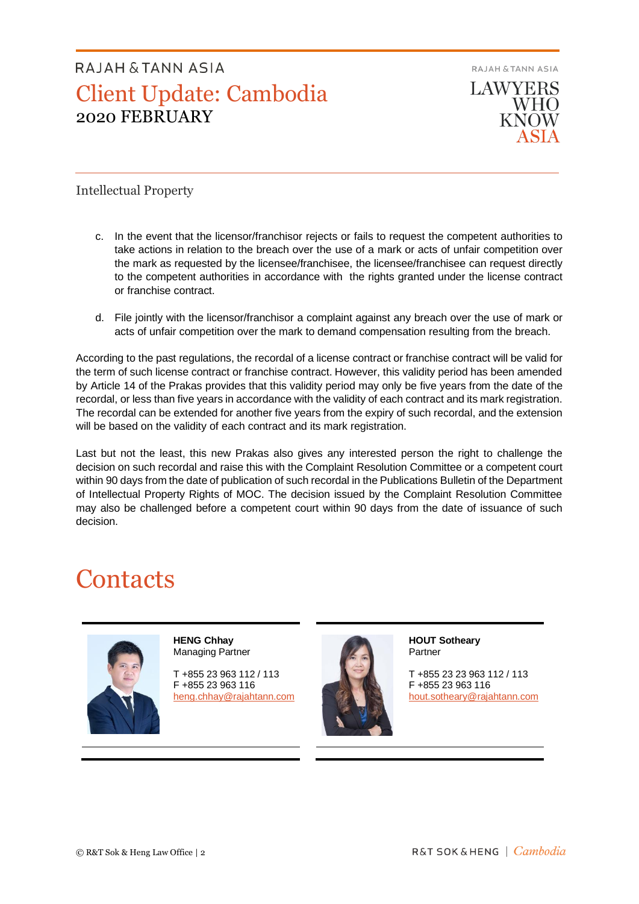## RAIAH & TANN ASIA Client Update: Cambodia 2020 FEBRUARY

RAJAH & TANN ASIA **LAWYERS WHO KNOW** 

Intellectual Property

- c. In the event that the licensor/franchisor rejects or fails to request the competent authorities to take actions in relation to the breach over the use of a mark or acts of unfair competition over the mark as requested by the licensee/franchisee, the licensee/franchisee can request directly to the competent authorities in accordance with the rights granted under the license contract or franchise contract.
- d. File jointly with the licensor/franchisor a complaint against any breach over the use of mark or acts of unfair competition over the mark to demand compensation resulting from the breach.

According to the past regulations, the recordal of a license contract or franchise contract will be valid for the term of such license contract or franchise contract. However, this validity period has been amended by Article 14 of the Prakas provides that this validity period may only be five years from the date of the recordal, or less than five years in accordance with the validity of each contract and its mark registration. The recordal can be extended for another five years from the expiry of such recordal, and the extension will be based on the validity of each contract and its mark registration.

Last but not the least, this new Prakas also gives any interested person the right to challenge the decision on such recordal and raise this with the Complaint Resolution Committee or a competent court within 90 days from the date of publication of such recordal in the Publications Bulletin of the Department of Intellectual Property Rights of MOC. The decision issued by the Complaint Resolution Committee may also be challenged before a competent court within 90 days from the date of issuance of such decision.

# **Contacts**



**HENG Chhay** Managing Partner

T +855 23 963 112 / 113 F +855 23 963 116 [heng.chhay@rajahtann.com](mailto:heng.chhay@rajahtann.com)



**HOUT Sotheary** Partner

T +855 23 23 963 112 / 113 F +855 23 963 116 [hout.sotheary@rajahtann.com](mailto:hout.sotheary@rajahtann.com)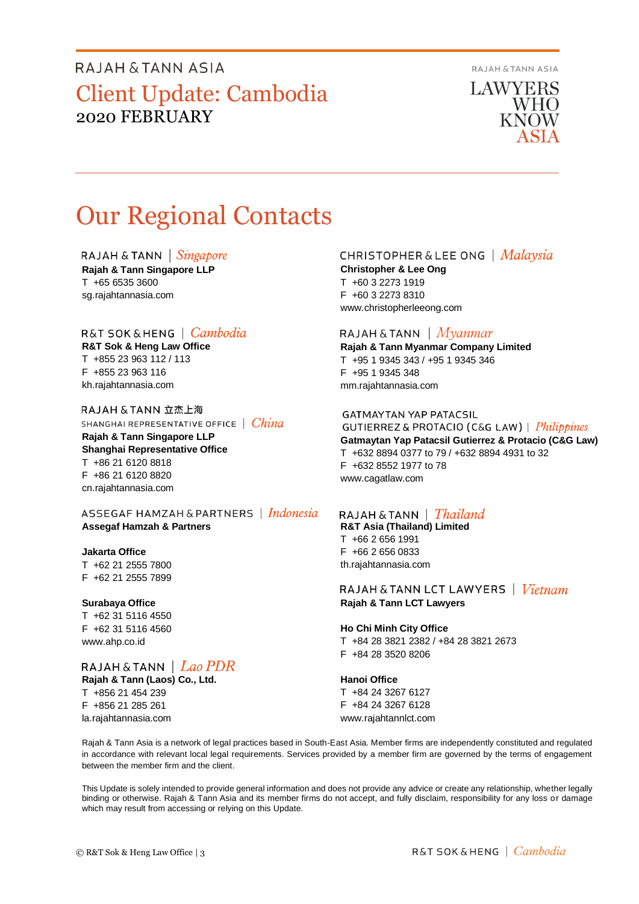## RAJAH & TANN ASIA Client Update: Cambodia 2020 FEBRUARY

RAJAH & TANN ASIA

**LAWYERS WHO KNOW** 

# Our Regional Contacts

#### RAJAH & TANN  $\int$  *Singapore*

**Rajah & Tann Singapore LLP** T +65 6535 3600 sg.rajahtannasia.com

### R&T SOK&HENG | Cambodia

**R&T Sok & Heng Law Office** T +855 23 963 112 / 113 F +855 23 963 116 kh.rajahtannasia.com

RAJAH & TANN 立杰上海 SHANGHAI REPRESENTATIVE OFFICE | China

**Rajah & Tann Singapore LLP Shanghai Representative Office** T +86 21 6120 8818 F +86 21 6120 8820 cn.rajahtannasia.com

ASSEGAF HAMZAH & PARTNERS | Indonesia **Assegaf Hamzah & Partners**

#### **Jakarta Office**

T +62 21 2555 7800 F +62 21 2555 7899

#### **Surabaya Office**

T +62 31 5116 4550 F +62 31 5116 4560 www.ahp.co.id

RAJAH & TANN | Lao PDR **Rajah & Tann (Laos) Co., Ltd.** T +856 21 454 239

F +856 21 285 261 la.rajahtannasia.com

### **CHRISTOPHER & LEE ONG** | Malaysia

**Christopher & Lee Ong** T +60 3 2273 1919 F +60 3 2273 8310 www.christopherleeong.com

#### RAJAH & TANN  $\mid$  *Myanmar*

**Rajah & Tann Myanmar Company Limited** T +95 1 9345 343 / +95 1 9345 346 F +95 1 9345 348 mm.rajahtannasia.com

#### **GATMAYTAN YAP PATACSIL**

**GUTIERREZ & PROTACIO (C&G LAW)** | *Philippines* **Gatmaytan Yap Patacsil Gutierrez & Protacio (C&G Law)**  T +632 8894 0377 to 79 / +632 8894 4931 to 32 F +632 8552 1977 to 78 www.cagatlaw.com

### RAJAH & TANN | *Thailand*

**R&T Asia (Thailand) Limited** T +66 2 656 1991 F +66 2 656 0833 th.rajahtannasia.com

RAJAH & TANN LCT LAWYERS | Vietnam **Rajah & Tann LCT Lawyers**

#### **Ho Chi Minh City Office**

T +84 28 3821 2382 / +84 28 3821 2673 F +84 28 3520 8206

### **Hanoi Office**

T +84 24 3267 6127 F +84 24 3267 6128 www.rajahtannlct.com

Rajah & Tann Asia is a network of legal practices based in South-East Asia. Member firms are independently constituted and regulated in accordance with relevant local legal requirements. Services provided by a member firm are governed by the terms of engagement between the member firm and the client.

This Update is solely intended to provide general information and does not provide any advice or create any relationship, whether legally binding or otherwise. Rajah & Tann Asia and its member firms do not accept, and fully disclaim, responsibility for any loss or damage which may result from accessing or relying on this Update.